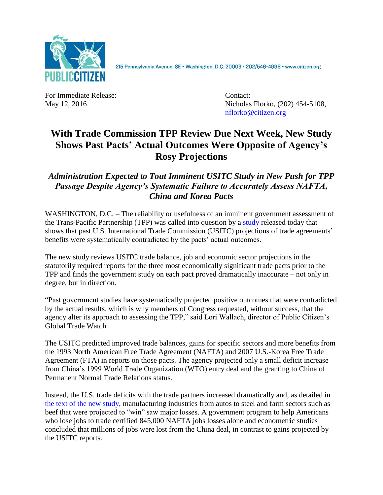

215 Pennsylvania Avenue, SE · Washington, D.C. 20003 · 202/546-4996 · www.citizen.org

For Immediate Release: Contact:

May 12, 2016 Nicholas Florko, (202) 454-5108, [nflorko@citizen.org](mailto:nflorko@citizen.org)

## **With Trade Commission TPP Review Due Next Week, New Study Shows Past Pacts' Actual Outcomes Were Opposite of Agency's Rosy Projections**

## *Administration Expected to Tout Imminent USITC Study in New Push for TPP Passage Despite Agency's Systematic Failure to Accurately Assess NAFTA, China and Korea Pacts*

WASHINGTON, D.C. – The reliability or usefulness of an imminent government assessment of the Trans-Pacific Partnership (TPP) was called into question by a [study](http://www.citizen.org/documents/USITC-TPP-Prebuttal.pdf) released today that shows that past U.S. International Trade Commission (USITC) projections of trade agreements' benefits were systematically contradicted by the pacts' actual outcomes.

The new study reviews USITC trade balance, job and economic sector projections in the statutorily required reports for the three most economically significant trade pacts prior to the TPP and finds the government study on each pact proved dramatically inaccurate – not only in degree, but in direction.

"Past government studies have systematically projected positive outcomes that were contradicted by the actual results, which is why members of Congress requested, without success, that the agency alter its approach to assessing the TPP," said Lori Wallach, director of Public Citizen's Global Trade Watch.

The USITC predicted improved trade balances, gains for specific sectors and more benefits from the 1993 North American Free Trade Agreement (NAFTA) and 2007 U.S.-Korea Free Trade Agreement (FTA) in reports on those pacts. The agency projected only a small deficit increase from China's 1999 World Trade Organization (WTO) entry deal and the granting to China of Permanent Normal Trade Relations status.

Instead, the U.S. trade deficits with the trade partners increased dramatically and, as detailed in [the text of the new](http://www.citizen.org/documents/USITC-TPP-Prebuttal.pdf) study, manufacturing industries from autos to steel and farm sectors such as beef that were projected to "win" saw major losses. A government program to help Americans who lose jobs to trade certified 845,000 NAFTA jobs losses alone and econometric studies concluded that millions of jobs were lost from the China deal, in contrast to gains projected by the USITC reports.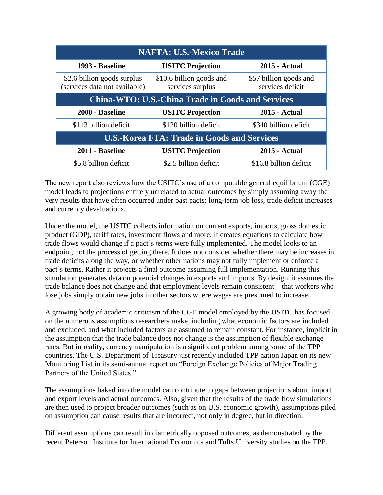| <b>NAFTA: U.S.-Mexico Trade</b>                              |                                              |                                            |
|--------------------------------------------------------------|----------------------------------------------|--------------------------------------------|
| 1993 - Baseline                                              | <b>USITC Projection</b>                      | <b>2015 - Actual</b>                       |
| \$2.6 billion goods surplus<br>(services data not available) | \$10.6 billion goods and<br>services surplus | \$57 billion goods and<br>services deficit |
| <b>China-WTO: U.S.-China Trade in Goods and Services</b>     |                                              |                                            |
| 2000 - Baseline                                              | <b>USITC Projection</b>                      | <b>2015 - Actual</b>                       |
| \$113 billion deficit                                        | \$120 billion deficit                        | \$340 billion deficit                      |
| <b>U.S.-Korea FTA: Trade in Goods and Services</b>           |                                              |                                            |
| 2011 - Baseline                                              | <b>USITC Projection</b>                      | <b>2015 - Actual</b>                       |
| \$5.8 billion deficit                                        | \$2.5 billion deficit                        | \$16.8 billion deficit                     |

The new report also reviews how the USITC's use of a computable general equilibrium (CGE) model leads to projections entirely unrelated to actual outcomes by simply assuming away the very results that have often occurred under past pacts: long-term job loss, trade deficit increases and currency devaluations.

Under the model, the USITC collects information on current exports, imports, gross domestic product (GDP), tariff rates, investment flows and more. It creates equations to calculate how trade flows would change if a pact's terms were fully implemented. The model looks to an endpoint, not the process of getting there. It does not consider whether there may be increases in trade deficits along the way, or whether other nations may not fully implement or enforce a pact's terms. Rather it projects a final outcome assuming full implementation. Running this simulation generates data on potential changes in exports and imports. By design, it assumes the trade balance does not change and that employment levels remain consistent – that workers who lose jobs simply obtain new jobs in other sectors where wages are presumed to increase.

A growing body of academic criticism of the CGE model employed by the USITC has focused on the numerous assumptions researchers make, including what economic factors are included and excluded, and what included factors are assumed to remain constant. For instance, implicit in the assumption that the trade balance does not change is the assumption of flexible exchange rates. But in reality, currency manipulation is a significant problem among some of the TPP countries. The U.S. Department of Treasury just recently included TPP nation Japan on its new Monitoring List in its semi-annual report on "Foreign Exchange Policies of Major Trading Partners of the United States."

The assumptions baked into the model can contribute to gaps between projections about import and export levels and actual outcomes. Also, given that the results of the trade flow simulations are then used to project broader outcomes (such as on U.S. economic growth), assumptions piled on assumption can cause results that are incorrect, not only in degree, but in direction.

Different assumptions can result in diametrically opposed outcomes, as demonstrated by the recent Peterson Institute for International Economics and Tufts University studies on the TPP.